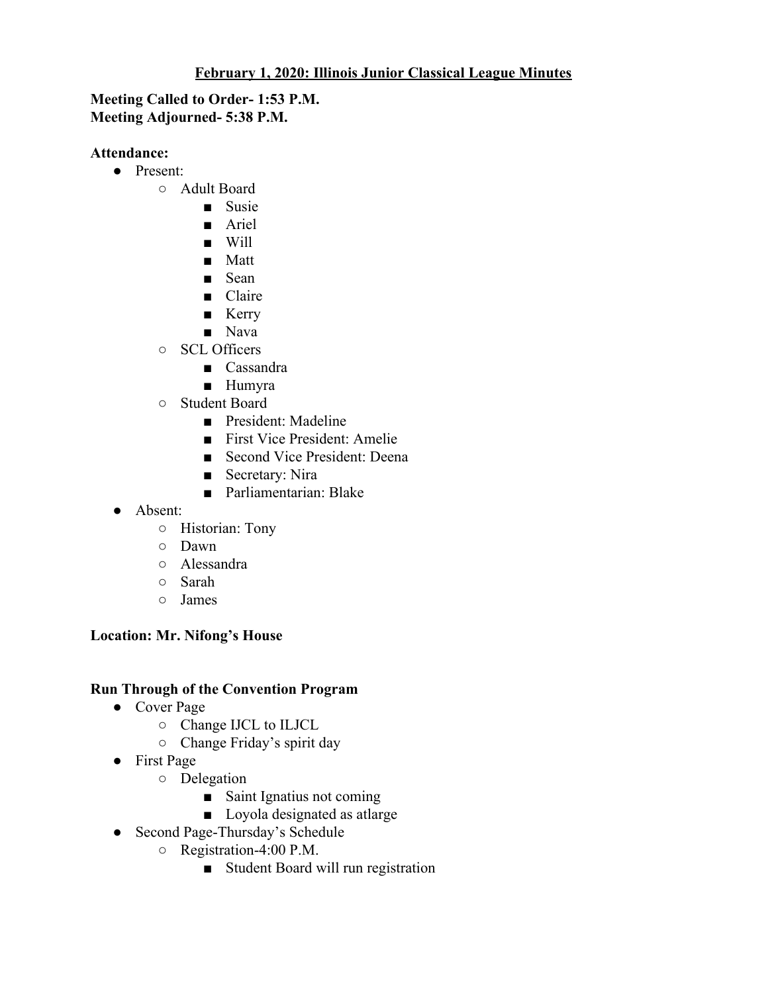## **February 1, 2020: Illinois Junior Classical League Minutes**

### **Meeting Called to Order- 1:53 P.M. Meeting Adjourned- 5:38 P.M.**

#### **Attendance:**

- Present:
	- Adult Board
		- Susie
		- Ariel
		- Will
		- Matt
		- Sean
		- Claire
		- Kerry
		- Nava
	- SCL Officers
		- Cassandra
		- Humyra
	- Student Board
		- President: Madeline
		- First Vice President: Amelie
		- Second Vice President: Deena
		- Secretary: Nira
		- Parliamentarian: Blake
- Absent:
	- Historian: Tony
	- Dawn
	- Alessandra
	- Sarah
	- James

## **Location: Mr. Nifong's House**

#### **Run Through of the Convention Program**

- Cover Page
	- Change IJCL to ILJCL
	- Change Friday's spirit day
- First Page
	- Delegation
		- Saint Ignatius not coming
		- Loyola designated as atlarge
- Second Page-Thursday's Schedule
	- Registration-4:00 P.M.
		- Student Board will run registration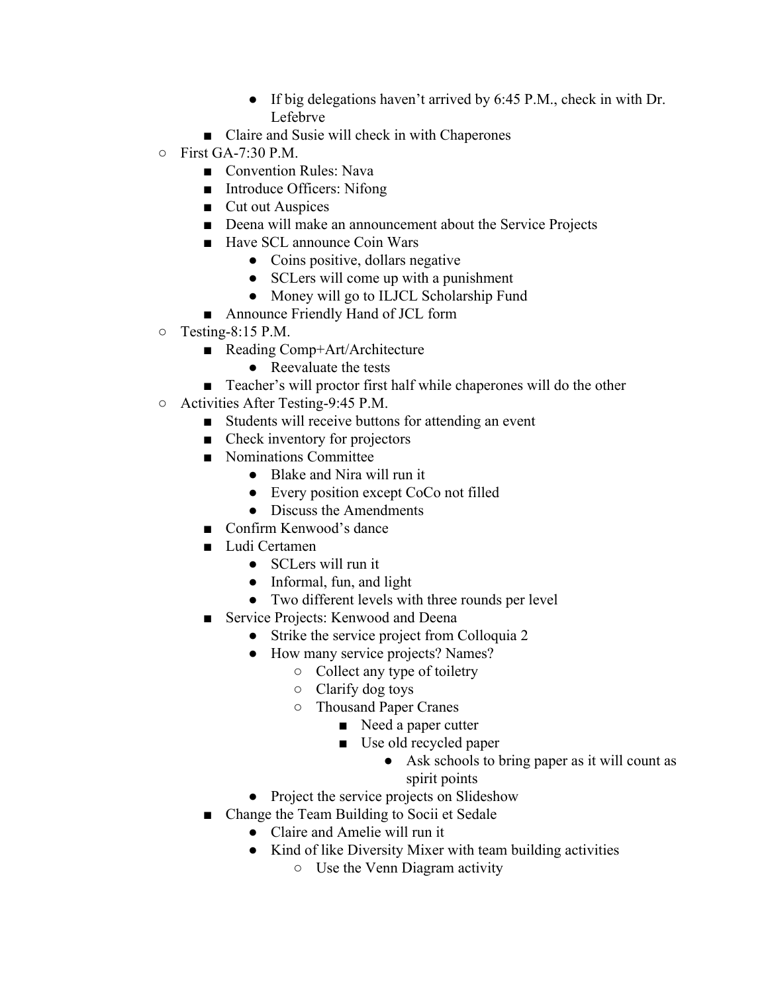- If big delegations haven't arrived by 6:45 P.M., check in with Dr. Lefebrve
- Claire and Susie will check in with Chaperones
- First GA-7:30 P.M.
	- Convention Rules: Nava
	- Introduce Officers: Nifong
	- Cut out Auspices
	- Deena will make an announcement about the Service Projects
	- Have SCL announce Coin Wars
		- Coins positive, dollars negative
		- SCLers will come up with a punishment
		- Money will go to ILJCL Scholarship Fund
	- Announce Friendly Hand of JCL form
- Testing-8:15 P.M.
	- Reading Comp+Art/Architecture
		- Reevaluate the tests
	- Teacher's will proctor first half while chaperones will do the other
- Activities After Testing-9:45 P.M.
	- Students will receive buttons for attending an event
	- Check inventory for projectors
	- Nominations Committee
		- Blake and Nira will run it
		- Every position except CoCo not filled
		- Discuss the Amendments
	- Confirm Kenwood's dance
	- Ludi Certamen
		- SCLers will run it
		- Informal, fun, and light
		- Two different levels with three rounds per level
	- Service Projects: Kenwood and Deena
		- Strike the service project from Colloquia 2
		- How many service projects? Names?
			- Collect any type of toiletry
			- Clarify dog toys
			- Thousand Paper Cranes
				- Need a paper cutter
					- Use old recycled paper
						- Ask schools to bring paper as it will count as spirit points
		- Project the service projects on Slideshow
	- Change the Team Building to Socii et Sedale
		- Claire and Amelie will run it
		- Kind of like Diversity Mixer with team building activities
			- Use the Venn Diagram activity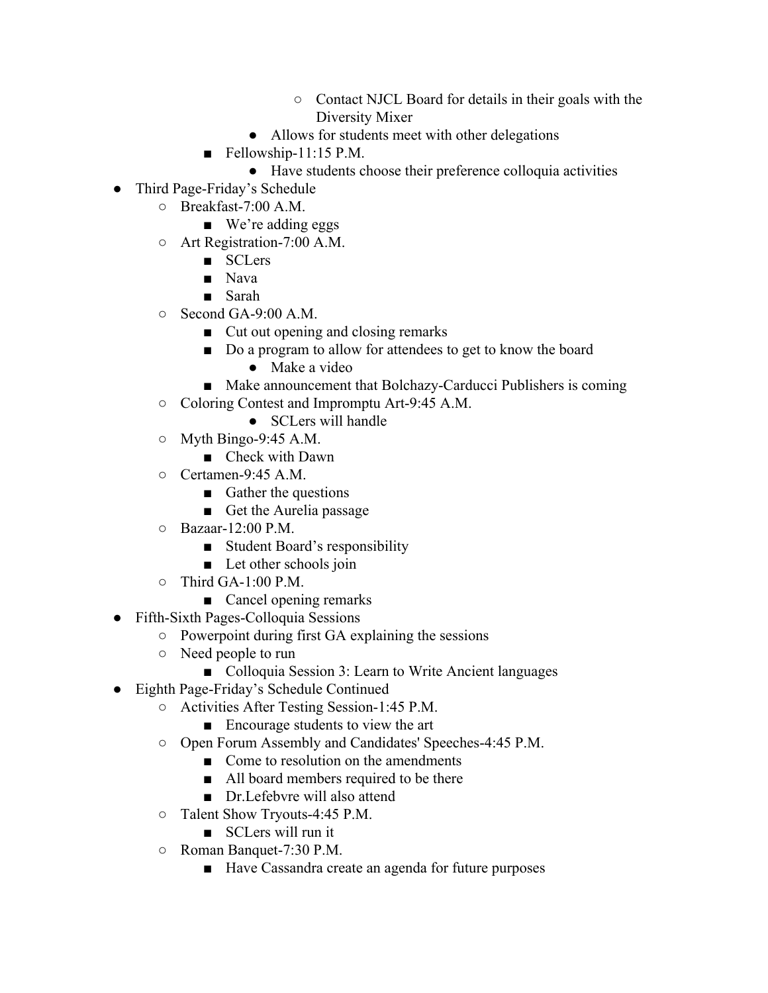- Contact NJCL Board for details in their goals with the Diversity Mixer
- Allows for students meet with other delegations
- $\blacksquare$  Fellowship-11:15 P.M.
	- Have students choose their preference colloquia activities
- Third Page-Friday's Schedule
	- Breakfast-7:00 A.M.
		- We're adding eggs
	- Art Registration-7:00 A.M.
		- SCLers
		- Nava
		- Sarah
	- $\circ$  Second GA-9:00 A.M.
		- Cut out opening and closing remarks
		- Do a program to allow for attendees to get to know the board
			- Make a video
		- Make announcement that Bolchazy-Carducci Publishers is coming
	- Coloring Contest and Impromptu Art-9:45 A.M.
		- SCLers will handle
	- $\circ$  Myth Bingo-9:45 A.M.
		- Check with Dawn
	- Certamen-9:45 A.M.
		- Gather the questions
		- Get the Aurelia passage
	- Bazaar-12:00 P.M.
		- Student Board's responsibility
		- Let other schools join
	- $\circ$  Third GA-1:00 P.M.
		- Cancel opening remarks
- Fifth-Sixth Pages-Colloquia Sessions
	- Powerpoint during first GA explaining the sessions
	- Need people to run
		- Colloquia Session 3: Learn to Write Ancient languages
- Eighth Page-Friday's Schedule Continued
	- Activities After Testing Session-1:45 P.M.
		- Encourage students to view the art
	- Open Forum Assembly and Candidates' Speeches-4:45 P.M.
		- Come to resolution on the amendments
		- All board members required to be there
		- Dr. Lefebvre will also attend
	- Talent Show Tryouts-4:45 P.M.
		- SCLers will run it
	- Roman Banquet-7:30 P.M.
		- Have Cassandra create an agenda for future purposes